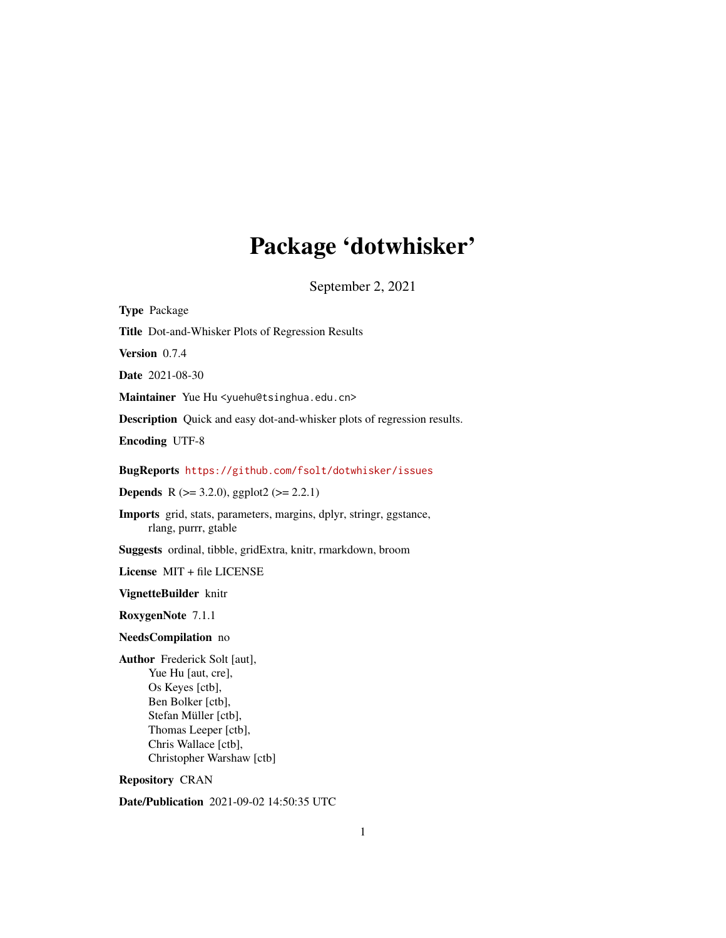# Package 'dotwhisker'

September 2, 2021

<span id="page-0-0"></span>

| <b>Type Package</b>                                                                                                                                                                             |
|-------------------------------------------------------------------------------------------------------------------------------------------------------------------------------------------------|
| Title Dot-and-Whisker Plots of Regression Results                                                                                                                                               |
| Version 0.7.4                                                                                                                                                                                   |
| Date 2021-08-30                                                                                                                                                                                 |
| Maintainer Yue Hu <yuehu@tsinghua.edu.cn></yuehu@tsinghua.edu.cn>                                                                                                                               |
| Description Quick and easy dot-and-whisker plots of regression results.                                                                                                                         |
| <b>Encoding UTF-8</b>                                                                                                                                                                           |
| BugReports https://github.com/fsolt/dotwhisker/issues                                                                                                                                           |
| <b>Depends</b> R ( $>= 3.2.0$ ), ggplot2 ( $>= 2.2.1$ )                                                                                                                                         |
| Imports grid, stats, parameters, margins, dplyr, stringr, ggstance,<br>rlang, purrr, gtable                                                                                                     |
| Suggests ordinal, tibble, gridExtra, knitr, rmarkdown, broom                                                                                                                                    |
| License MIT + file LICENSE                                                                                                                                                                      |
| VignetteBuilder knitr                                                                                                                                                                           |
| RoxygenNote 7.1.1                                                                                                                                                                               |
| NeedsCompilation no                                                                                                                                                                             |
| Author Frederick Solt [aut],<br>Yue Hu [aut, cre],<br>Os Keyes [ctb],<br>Ben Bolker [ctb],<br>Stefan Müller [ctb],<br>Thomas Leeper [ctb],<br>Chris Wallace [ctb],<br>Christopher Warshaw [ctb] |
| <b>Repository CRAN</b>                                                                                                                                                                          |
| <b>Date/Publication</b> 2021-09-02 14:50:35 UTC                                                                                                                                                 |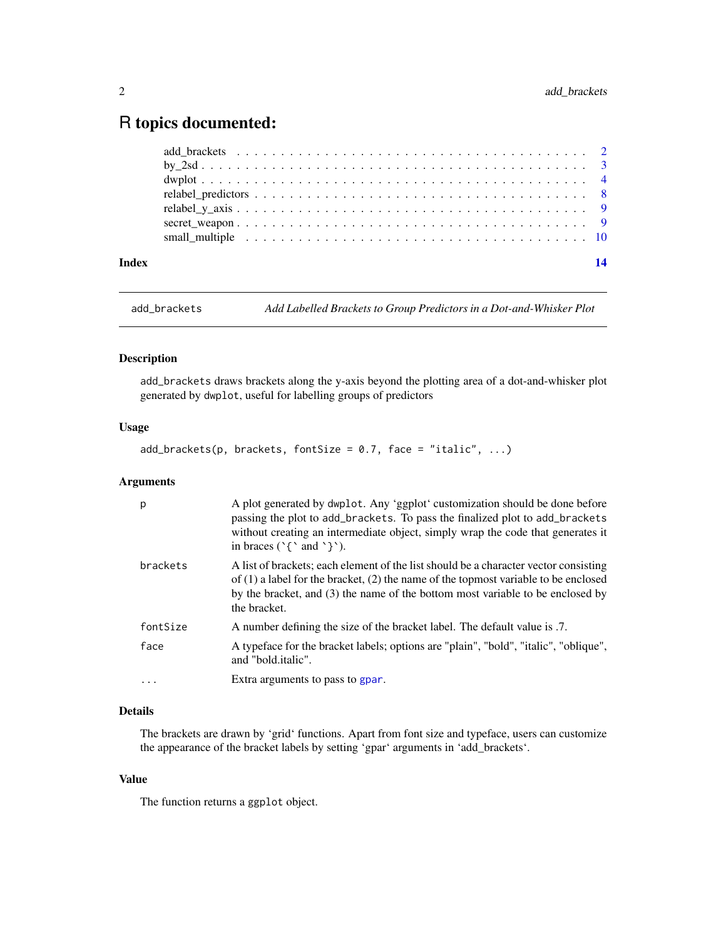# <span id="page-1-0"></span>R topics documented:

| Index | 14 |  |
|-------|----|--|
|       |    |  |
|       |    |  |
|       |    |  |
|       |    |  |
|       |    |  |
|       |    |  |
|       |    |  |

add\_brackets *Add Labelled Brackets to Group Predictors in a Dot-and-Whisker Plot*

# Description

add\_brackets draws brackets along the y-axis beyond the plotting area of a dot-and-whisker plot generated by dwplot, useful for labelling groups of predictors

#### Usage

 $add\_brackets(p, brackets, fontSize = 0.7, face = "italic", ...)$ 

# Arguments

| p        | A plot generated by dwplot. Any 'ggplot' customization should be done before<br>passing the plot to add_brackets. To pass the finalized plot to add_brackets<br>without creating an intermediate object, simply wrap the code that generates it<br>in braces $(\uparrow \uparrow$ and $\uparrow \uparrow)$ . |
|----------|--------------------------------------------------------------------------------------------------------------------------------------------------------------------------------------------------------------------------------------------------------------------------------------------------------------|
| brackets | A list of brackets; each element of the list should be a character vector consisting<br>of $(1)$ a label for the bracket, $(2)$ the name of the topmost variable to be enclosed<br>by the bracket, and (3) the name of the bottom most variable to be enclosed by<br>the bracket.                            |
| fontSize | A number defining the size of the bracket label. The default value is .7.                                                                                                                                                                                                                                    |
| face     | A typeface for the bracket labels; options are "plain", "bold", "italic", "oblique",<br>and "bold.italic".                                                                                                                                                                                                   |
| .        | Extra arguments to pass to gpar.                                                                                                                                                                                                                                                                             |

# Details

The brackets are drawn by 'grid' functions. Apart from font size and typeface, users can customize the appearance of the bracket labels by setting 'gpar' arguments in 'add\_brackets'.

### Value

The function returns a ggplot object.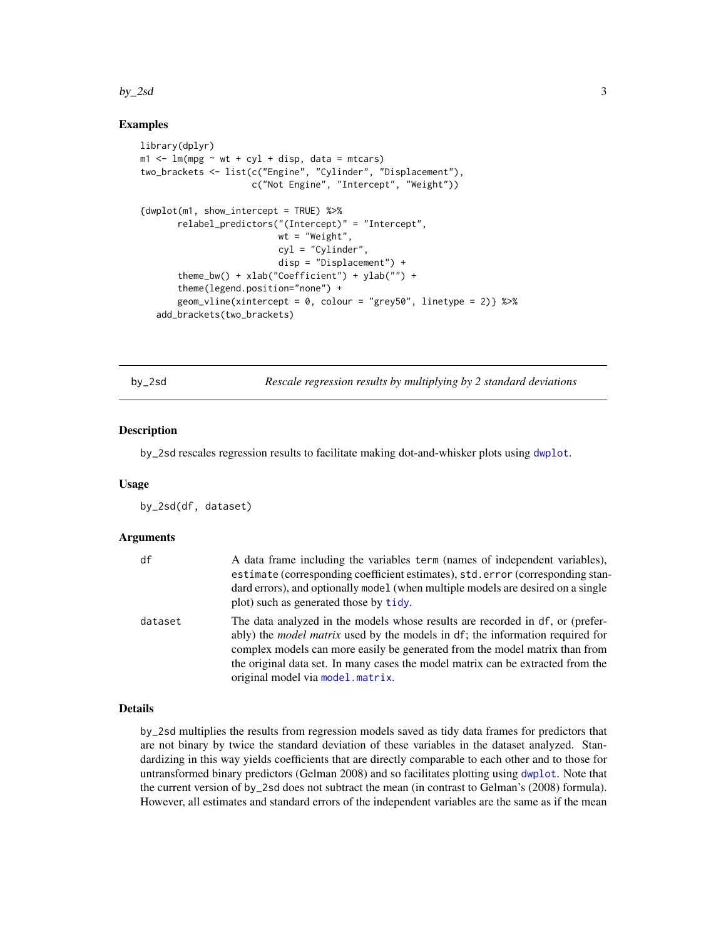#### <span id="page-2-0"></span> $by_2$ sd  $3$

#### Examples

```
library(dplyr)
m1 < - \ln(mpg \sim wt + cyl + disp, data = mtcars)two_brackets <- list(c("Engine", "Cylinder", "Displacement"),
                     c("Not Engine", "Intercept", "Weight"))
{dwplot(m1, show_intercept = TRUE) %>%
       relabel_predictors("(Intercept)" = "Intercept",
                          wt = "Weight",
                          cyl = "Cylinder",
                          disp = "Displacement") +
       theme_bw() + xlab("Coefficient") + ylab("") +
       theme(legend.position="none") +
       geom_vline(xintercept = 0, colour = "grey50", linetype = 2)} %>%
   add_brackets(two_brackets)
```
<span id="page-2-1"></span>by\_2sd *Rescale regression results by multiplying by 2 standard deviations*

#### Description

by\_2sd rescales regression results to facilitate making dot-and-whisker plots using [dwplot](#page-3-1).

#### Usage

by\_2sd(df, dataset)

#### Arguments

| df      | A data frame including the variables term (names of independent variables),<br>estimate (corresponding coefficient estimates), std. error (corresponding stan-                                                                                                                                                                                                              |
|---------|-----------------------------------------------------------------------------------------------------------------------------------------------------------------------------------------------------------------------------------------------------------------------------------------------------------------------------------------------------------------------------|
|         | dard errors), and optionally model (when multiple models are desired on a single<br>plot) such as generated those by tidy.                                                                                                                                                                                                                                                  |
| dataset | The data analyzed in the models whose results are recorded in df, or (prefer-<br>ably) the <i>model matrix</i> used by the models in df; the information required for<br>complex models can more easily be generated from the model matrix than from<br>the original data set. In many cases the model matrix can be extracted from the<br>original model via model matrix. |

#### Details

by\_2sd multiplies the results from regression models saved as tidy data frames for predictors that are not binary by twice the standard deviation of these variables in the dataset analyzed. Standardizing in this way yields coefficients that are directly comparable to each other and to those for untransformed binary predictors (Gelman 2008) and so facilitates plotting using [dwplot](#page-3-1). Note that the current version of by\_2sd does not subtract the mean (in contrast to Gelman's (2008) formula). However, all estimates and standard errors of the independent variables are the same as if the mean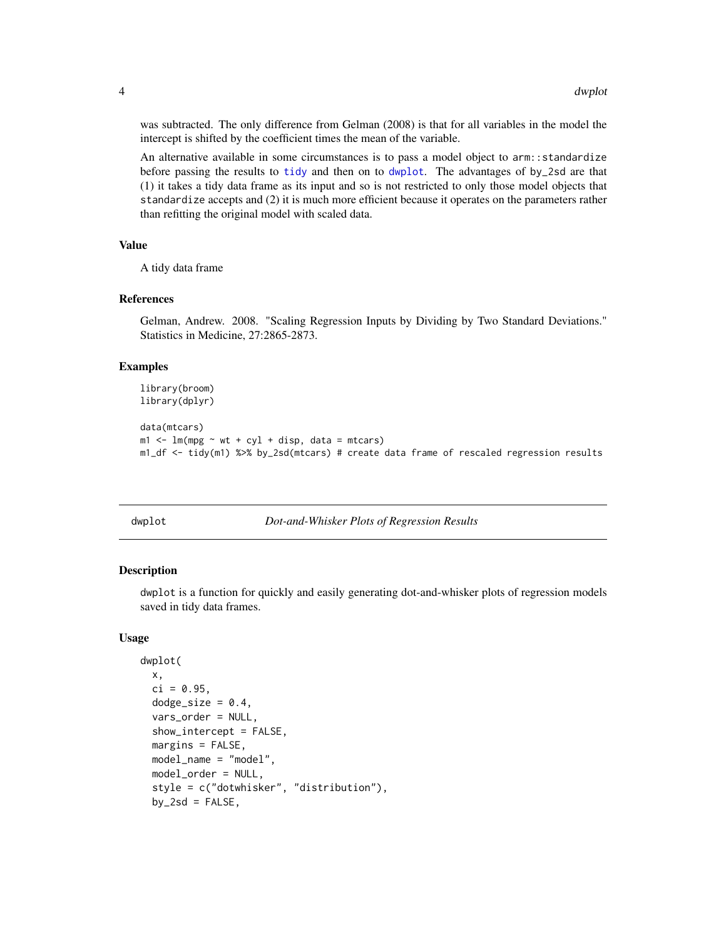was subtracted. The only difference from Gelman (2008) is that for all variables in the model the intercept is shifted by the coefficient times the mean of the variable.

An alternative available in some circumstances is to pass a model object to arm::standardize before passing the results to [tidy](#page-0-0) and then on to [dwplot](#page-3-1). The advantages of by\_2sd are that (1) it takes a tidy data frame as its input and so is not restricted to only those model objects that standardize accepts and (2) it is much more efficient because it operates on the parameters rather than refitting the original model with scaled data.

#### Value

A tidy data frame

#### References

Gelman, Andrew. 2008. "Scaling Regression Inputs by Dividing by Two Standard Deviations." Statistics in Medicine, 27:2865-2873.

#### Examples

```
library(broom)
library(dplyr)
data(mtcars)
m1 < -1m(mpg \sim wt + cyl + disp, data = mtcars)m1_df <- tidy(m1) %>% by_2sd(mtcars) # create data frame of rescaled regression results
```
<span id="page-3-1"></span>

dwplot *Dot-and-Whisker Plots of Regression Results*

#### Description

dwplot is a function for quickly and easily generating dot-and-whisker plots of regression models saved in tidy data frames.

#### Usage

```
dwplot(
  x,
  ci = 0.95,dodge_size = 0.4,
  vars_order = NULL,
  show\_intercept = FALSE,
  margins = FALSE,
 model_name = "model",
 model_order = NULL,
  style = c("dotwhisker", "distribution"),
  by_2sd = FALSE,
```
<span id="page-3-0"></span>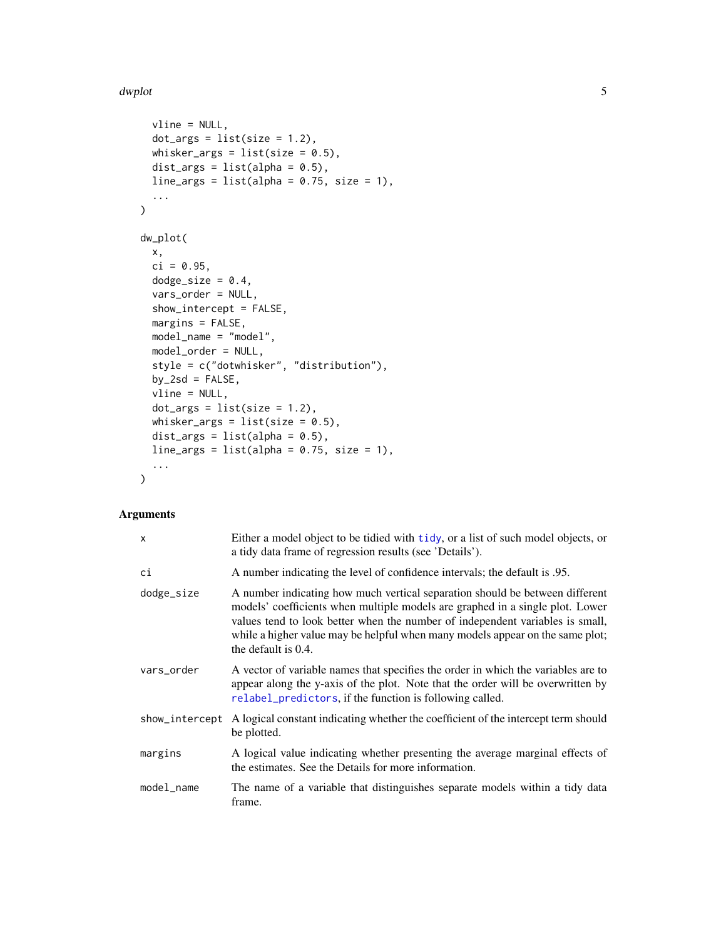#### <span id="page-4-0"></span>dwplot 5 and 5 and 5 and 5 and 5 and 5 and 5 and 5 and 5 and 5 and 5 and 5 and 5 and 5 and 5 and 5 and 5 and 5

```
vline = NULL,
 dot_{args} = list(size = 1.2),whisker_args = list(size = 0.5),
 dist_args = list(alpha = 0.5),
 line_args = list(alpha = 0.75, size = 1),
  ...
\mathcal{L}dw_plot(
  x,
 ci = 0.95,dodge_size = 0.4,
 vars_order = NULL,
  show_intercept = FALSE,
 margins = FALSE,
 model_name = "model",
 model_order = NULL,
 style = c("dotwhisker", "distribution"),
 by_2sd = FALSE,
  vline = NULL,
 dot_{args} = list(size = 1.2),whisker_args = list(size = 0.5),
 dist_args = list(alpha = 0.5),
 line_{args} = list(alpha = 0.75, size = 1),...
\mathcal{L}
```
# Arguments

| X              | Either a model object to be tidied with tidy, or a list of such model objects, or<br>a tidy data frame of regression results (see 'Details').                                                                                                                                                                                                          |
|----------------|--------------------------------------------------------------------------------------------------------------------------------------------------------------------------------------------------------------------------------------------------------------------------------------------------------------------------------------------------------|
| сi             | A number indicating the level of confidence intervals; the default is 0.95.                                                                                                                                                                                                                                                                            |
| dodge_size     | A number indicating how much vertical separation should be between different<br>models' coefficients when multiple models are graphed in a single plot. Lower<br>values tend to look better when the number of independent variables is small,<br>while a higher value may be helpful when many models appear on the same plot;<br>the default is 0.4. |
| vars_order     | A vector of variable names that specifies the order in which the variables are to<br>appear along the y-axis of the plot. Note that the order will be overwritten by<br>relabel_predictors, if the function is following called.                                                                                                                       |
| show_intercept | A logical constant indicating whether the coefficient of the intercept term should<br>be plotted.                                                                                                                                                                                                                                                      |
| margins        | A logical value indicating whether presenting the average marginal effects of<br>the estimates. See the Details for more information.                                                                                                                                                                                                                  |
| model_name     | The name of a variable that distinguishes separate models within a tidy data<br>frame.                                                                                                                                                                                                                                                                 |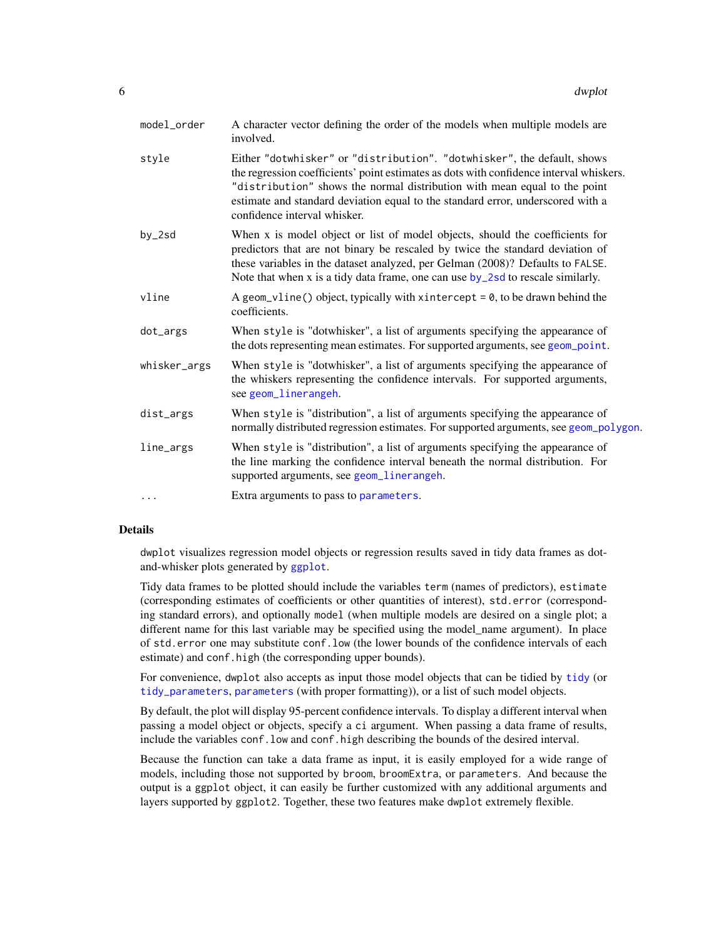<span id="page-5-0"></span>

| model_order  | A character vector defining the order of the models when multiple models are<br>involved.                                                                                                                                                                                                                                                                          |
|--------------|--------------------------------------------------------------------------------------------------------------------------------------------------------------------------------------------------------------------------------------------------------------------------------------------------------------------------------------------------------------------|
| style        | Either "dotwhisker" or "distribution". "dotwhisker", the default, shows<br>the regression coefficients' point estimates as dots with confidence interval whiskers.<br>"distribution" shows the normal distribution with mean equal to the point<br>estimate and standard deviation equal to the standard error, underscored with a<br>confidence interval whisker. |
| by_2sd       | When x is model object or list of model objects, should the coefficients for<br>predictors that are not binary be rescaled by twice the standard deviation of<br>these variables in the dataset analyzed, per Gelman (2008)? Defaults to FALSE.<br>Note that when x is a tidy data frame, one can use $by$ 2sd to rescale similarly.                               |
| vline        | A geom_vline() object, typically with xintercept = $0$ , to be drawn behind the<br>coefficients.                                                                                                                                                                                                                                                                   |
| dot_args     | When style is "dotwhisker", a list of arguments specifying the appearance of<br>the dots representing mean estimates. For supported arguments, see geom_point.                                                                                                                                                                                                     |
| whisker_args | When style is "dotwhisker", a list of arguments specifying the appearance of<br>the whiskers representing the confidence intervals. For supported arguments,<br>see geom_linerangeh.                                                                                                                                                                               |
| dist_args    | When style is "distribution", a list of arguments specifying the appearance of<br>normally distributed regression estimates. For supported arguments, see geom_polygon.                                                                                                                                                                                            |
| line_args    | When style is "distribution", a list of arguments specifying the appearance of<br>the line marking the confidence interval beneath the normal distribution. For<br>supported arguments, see geom_linerangeh.                                                                                                                                                       |
|              | Extra arguments to pass to parameters.                                                                                                                                                                                                                                                                                                                             |
|              |                                                                                                                                                                                                                                                                                                                                                                    |

## Details

dwplot visualizes regression model objects or regression results saved in tidy data frames as dotand-whisker plots generated by [ggplot](#page-0-0).

Tidy data frames to be plotted should include the variables term (names of predictors), estimate (corresponding estimates of coefficients or other quantities of interest), std.error (corresponding standard errors), and optionally model (when multiple models are desired on a single plot; a different name for this last variable may be specified using the model\_name argument). In place of std.error one may substitute conf.low (the lower bounds of the confidence intervals of each estimate) and conf.high (the corresponding upper bounds).

For convenience, dwplot also accepts as input those model objects that can be tidied by [tidy](#page-0-0) (or [tidy\\_parameters](#page-0-0), [parameters](#page-0-0) (with proper formatting)), or a list of such model objects.

By default, the plot will display 95-percent confidence intervals. To display a different interval when passing a model object or objects, specify a ci argument. When passing a data frame of results, include the variables conf.low and conf.high describing the bounds of the desired interval.

Because the function can take a data frame as input, it is easily employed for a wide range of models, including those not supported by broom, broomExtra, or parameters. And because the output is a ggplot object, it can easily be further customized with any additional arguments and layers supported by ggplot2. Together, these two features make dwplot extremely flexible.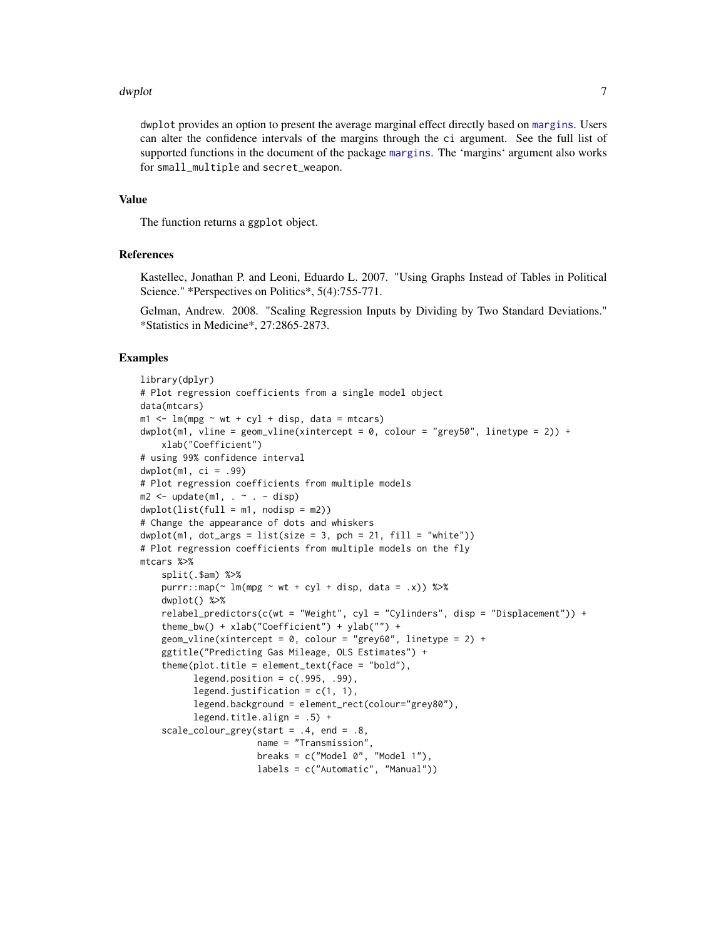#### <span id="page-6-0"></span>dwplot the contract of the contract of the contract of the contract of the contract of the contract of the contract of the contract of the contract of the contract of the contract of the contract of the contract of the con

dwplot provides an option to present the average marginal effect directly based on [margins](#page-0-0). Users can alter the confidence intervals of the margins through the ci argument. See the full list of supported functions in the document of the package [margins](#page-0-0). The 'margins' argument also works for small\_multiple and secret\_weapon.

#### Value

The function returns a ggplot object.

### **References**

Kastellec, Jonathan P. and Leoni, Eduardo L. 2007. "Using Graphs Instead of Tables in Political Science." \*Perspectives on Politics\*, 5(4):755-771.

Gelman, Andrew. 2008. "Scaling Regression Inputs by Dividing by Two Standard Deviations." \*Statistics in Medicine\*, 27:2865-2873.

#### Examples

```
library(dplyr)
# Plot regression coefficients from a single model object
data(mtcars)
m1 < - \ln(mpg \sim wt + cyl + disp, data = mtcars)dwplot(m1, vline = geom_vline(xintercept = \theta, colour = "grey50", linetype = 2)) +
    xlab("Coefficient")
# using 99% confidence interval
dwplot(m1, ci = .99)# Plot regression coefficients from multiple models
m2 \leq update(m1, \sim . - disp)
dwplot(list(full = m1, nodisp = m2))# Change the appearance of dots and whiskers
dwplot(m1, dot_{args} = list(size = 3, pch = 21, fill = "white")# Plot regression coefficients from multiple models on the fly
mtcars %>%
    split(.$am) %>%
   purrr::map(\sim lm(mpg \sim wt + cyl + disp, data = .x)) %>%
   dwplot() %>%
    relabel_{predictors}(c(wt = "Weight", cyl = "Cylinder's", disp = "Displacement")) +theme_bw() + xlab("Coefficient") + ylab("") +
   geom_vline(xintercept = 0, colour = "grey60", linetype = 2) +
    ggtitle("Predicting Gas Mileage, OLS Estimates") +
    theme(plot.title = element_text(face = "bold"),
          legend.position = c(.995, .99),
          legend.justification = c(1, 1),
          legend.background = element_rect(colour="grey80"),
          legend.title.align = .5) +
    scale\_colour\_grey(start = .4, end = .8,name = "Transmission",
                      breaks = c("Model 0", "Model 1"),
                      labels = c("Automatic", "Manual"))
```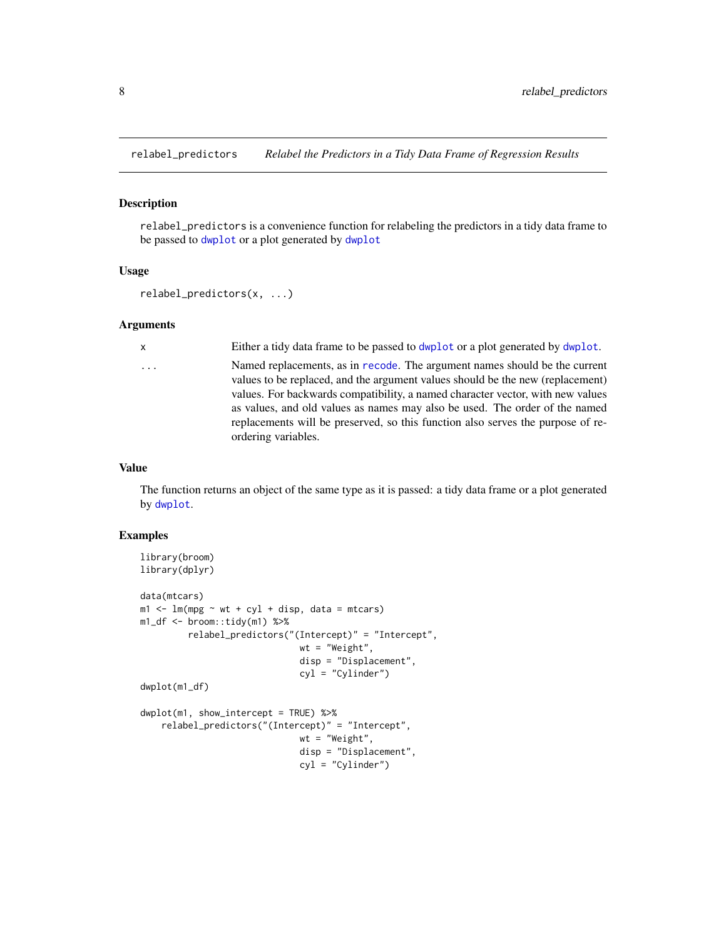<span id="page-7-1"></span><span id="page-7-0"></span>

#### Description

relabel\_predictors is a convenience function for relabeling the predictors in a tidy data frame to be passed to [dwplot](#page-3-1) or a plot generated by [dwplot](#page-3-1)

#### Usage

```
relabel_predictors(x, ...)
```
#### Arguments

x Either a tidy data frame to be passed to [dwplot](#page-3-1) or a plot generated by [dwplot](#page-3-1).

... Named replacements, as in [recode](#page-0-0). The argument names should be the current values to be replaced, and the argument values should be the new (replacement) values. For backwards compatibility, a named character vector, with new values as values, and old values as names may also be used. The order of the named replacements will be preserved, so this function also serves the purpose of reordering variables.

#### Value

The function returns an object of the same type as it is passed: a tidy data frame or a plot generated by [dwplot](#page-3-1).

# Examples

```
library(broom)
library(dplyr)
data(mtcars)
m1 < -1m(mpg \sim wt + cyl + disp, data = mtcars)m1_df <- broom::tidy(m1) %>%
         relabel_predictors("(Intercept)" = "Intercept",
                              wt = "Weight",
                              disp = "Displacement",
                              cyl = "Cylinder")
dwplot(m1_df)
dwplot(m1, show_intercept = TRUE) %>%
    relabel_predictors("(Intercept)" = "Intercept",
                              wt = "Weight",
                              disp = "Displacement",
                              cyl = "Cylinder")
```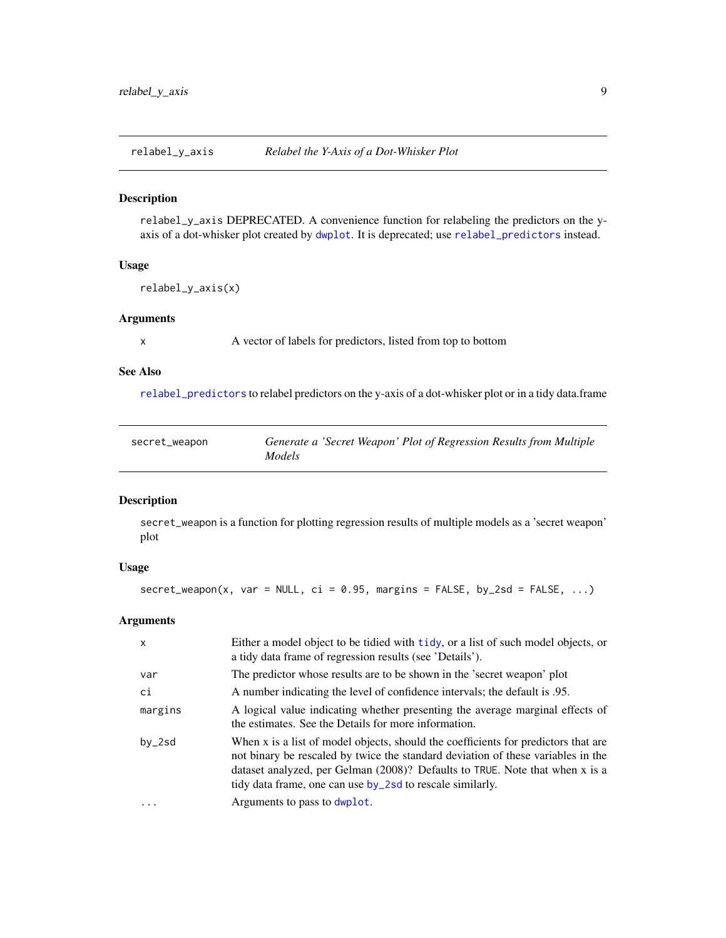<span id="page-8-0"></span>

#### Description

relabel\_y\_axis DEPRECATED. A convenience function for relabeling the predictors on the yaxis of a dot-whisker plot created by [dwplot](#page-3-1). It is deprecated; use [relabel\\_predictors](#page-7-1) instead.

#### Usage

relabel\_y\_axis(x)

#### Arguments

x A vector of labels for predictors, listed from top to bottom

#### See Also

[relabel\\_predictors](#page-7-1) to relabel predictors on the y-axis of a dot-whisker plot or in a tidy data.frame

| secret_weapon |        | Generate a 'Secret Weapon' Plot of Regression Results from Multiple |
|---------------|--------|---------------------------------------------------------------------|
|               | Models |                                                                     |

#### Description

secret\_weapon is a function for plotting regression results of multiple models as a 'secret weapon' plot

# Usage

 $secret\_weapon(x, var = NULL, ci = 0.95, margins = FALSE, by_2sd = FALSE, ...)$ 

#### Arguments

| $\mathsf{x}$ | Either a model object to be tidied with tidy, or a list of such model objects, or<br>a tidy data frame of regression results (see 'Details').                                                                                                                                                                       |
|--------------|---------------------------------------------------------------------------------------------------------------------------------------------------------------------------------------------------------------------------------------------------------------------------------------------------------------------|
| var          | The predictor whose results are to be shown in the 'secret weapon' plot                                                                                                                                                                                                                                             |
| сi           | A number indicating the level of confidence intervals; the default is .95.                                                                                                                                                                                                                                          |
| margins      | A logical value indicating whether presenting the average marginal effects of<br>the estimates. See the Details for more information.                                                                                                                                                                               |
| $by_2$ sd    | When x is a list of model objects, should the coefficients for predictors that are<br>not binary be rescaled by twice the standard deviation of these variables in the<br>dataset analyzed, per Gelman (2008)? Defaults to TRUE. Note that when x is a<br>tidy data frame, one can use by 2sd to rescale similarly. |
| .            | Arguments to pass to dwplot.                                                                                                                                                                                                                                                                                        |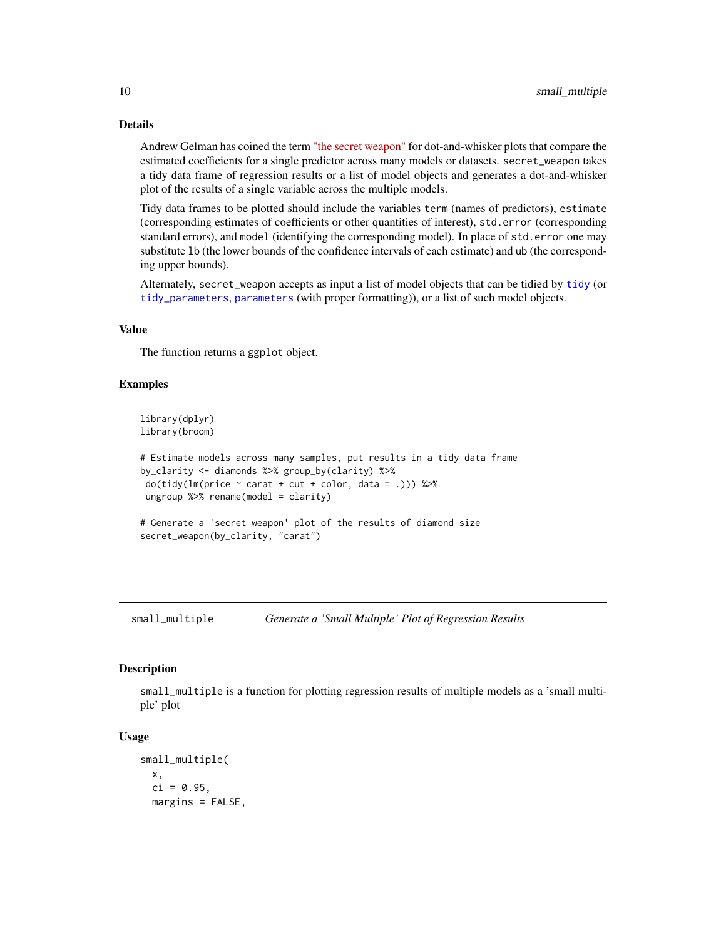### Details

Andrew Gelman has coined the term ["the secret weapon"](https://statmodeling.stat.columbia.edu/2005/03/07/the_secret_weap/) for dot-and-whisker plots that compare the estimated coefficients for a single predictor across many models or datasets. secret\_weapon takes a tidy data frame of regression results or a list of model objects and generates a dot-and-whisker plot of the results of a single variable across the multiple models.

Tidy data frames to be plotted should include the variables term (names of predictors), estimate (corresponding estimates of coefficients or other quantities of interest), std.error (corresponding standard errors), and model (identifying the corresponding model). In place of std.error one may substitute lb (the lower bounds of the confidence intervals of each estimate) and ub (the corresponding upper bounds).

Alternately, secret\_weapon accepts as input a list of model objects that can be tidied by [tidy](#page-0-0) (or [tidy\\_parameters](#page-0-0), [parameters](#page-0-0) (with proper formatting)), or a list of such model objects.

#### Value

The function returns a ggplot object.

#### Examples

```
library(dplyr)
library(broom)
# Estimate models across many samples, put results in a tidy data frame
by_clarity <- diamonds %>% group_by(clarity) %>%
do(tidy(lm(price ~^c\ncarat ~+ cut ~+ color, data = .))) %>%
ungroup \frac{1}{2} rename(model = clarity)
# Generate a 'secret weapon' plot of the results of diamond size
secret_weapon(by_clarity, "carat")
```
small\_multiple *Generate a 'Small Multiple' Plot of Regression Results*

#### **Description**

small\_multiple is a function for plotting regression results of multiple models as a 'small multiple' plot

#### Usage

```
small_multiple(
 x,
  ci = 0.95,
 margins = FALSE,
```
<span id="page-9-0"></span>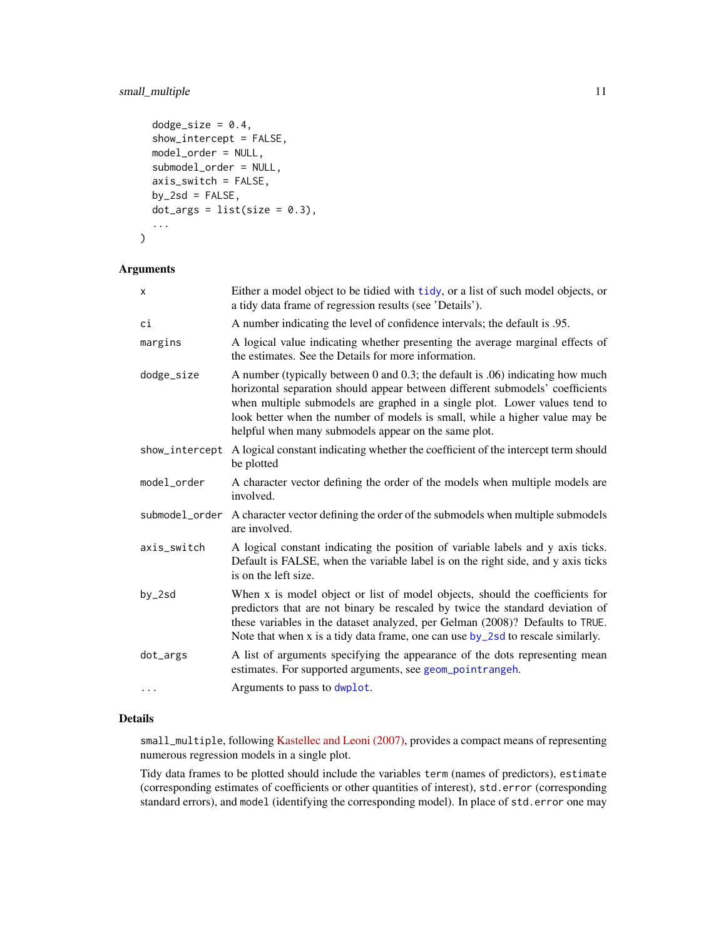# <span id="page-10-0"></span>small\_multiple 11

```
dodge_size = 0.4,
show_intercept = FALSE,
model_order = NULL,
submodel_order = NULL,
axis_switch = FALSE,
by_2sd = FALSE,
dot_{args} = list(size = 0.3),...
```
#### Arguments

)

| X              | Either a model object to be tidied with tidy, or a list of such model objects, or<br>a tidy data frame of regression results (see 'Details').                                                                                                                                                                                                                                        |
|----------------|--------------------------------------------------------------------------------------------------------------------------------------------------------------------------------------------------------------------------------------------------------------------------------------------------------------------------------------------------------------------------------------|
| сi             | A number indicating the level of confidence intervals; the default is .95.                                                                                                                                                                                                                                                                                                           |
| margins        | A logical value indicating whether presenting the average marginal effects of<br>the estimates. See the Details for more information.                                                                                                                                                                                                                                                |
| dodge_size     | A number (typically between 0 and 0.3; the default is .06) indicating how much<br>horizontal separation should appear between different submodels' coefficients<br>when multiple submodels are graphed in a single plot. Lower values tend to<br>look better when the number of models is small, while a higher value may be<br>helpful when many submodels appear on the same plot. |
| show_intercept | A logical constant indicating whether the coefficient of the intercept term should<br>be plotted                                                                                                                                                                                                                                                                                     |
| model_order    | A character vector defining the order of the models when multiple models are<br>involved.                                                                                                                                                                                                                                                                                            |
| submodel_order | A character vector defining the order of the submodels when multiple submodels<br>are involved.                                                                                                                                                                                                                                                                                      |
| axis_switch    | A logical constant indicating the position of variable labels and y axis ticks.<br>Default is FALSE, when the variable label is on the right side, and y axis ticks<br>is on the left size.                                                                                                                                                                                          |
| by_2sd         | When x is model object or list of model objects, should the coefficients for<br>predictors that are not binary be rescaled by twice the standard deviation of<br>these variables in the dataset analyzed, per Gelman (2008)? Defaults to TRUE.<br>Note that when x is a tidy data frame, one can use by 2sd to rescale similarly.                                                    |
| dot_args       | A list of arguments specifying the appearance of the dots representing mean<br>estimates. For supported arguments, see geom_pointrangeh.                                                                                                                                                                                                                                             |
| .              | Arguments to pass to dwplot.                                                                                                                                                                                                                                                                                                                                                         |

### Details

small\_multiple, following [Kastellec and Leoni \(2007\),](https://www.cambridge.org/core/journals/perspectives-on-politics/article/using-graphs-instead-of-tables-in-political-science/9FD63E9EE686AF046732191EE8A68034) provides a compact means of representing numerous regression models in a single plot.

Tidy data frames to be plotted should include the variables term (names of predictors), estimate (corresponding estimates of coefficients or other quantities of interest), std.error (corresponding standard errors), and model (identifying the corresponding model). In place of std.error one may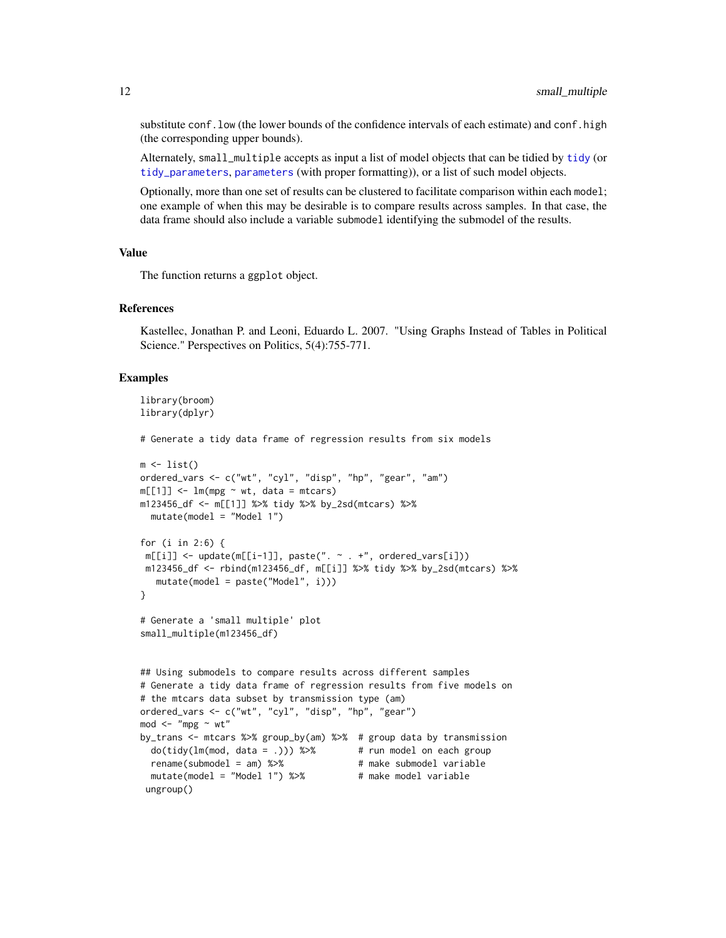substitute conf. low (the lower bounds of the confidence intervals of each estimate) and conf. high (the corresponding upper bounds).

Alternately, small\_multiple accepts as input a list of model objects that can be tidied by [tidy](#page-0-0) (or [tidy\\_parameters](#page-0-0), [parameters](#page-0-0) (with proper formatting)), or a list of such model objects.

Optionally, more than one set of results can be clustered to facilitate comparison within each model; one example of when this may be desirable is to compare results across samples. In that case, the data frame should also include a variable submodel identifying the submodel of the results.

#### Value

The function returns a ggplot object.

### References

Kastellec, Jonathan P. and Leoni, Eduardo L. 2007. "Using Graphs Instead of Tables in Political Science." Perspectives on Politics, 5(4):755-771.

#### Examples

```
library(broom)
library(dplyr)
# Generate a tidy data frame of regression results from six models
m \leftarrow list()ordered_vars <- c("wt", "cyl", "disp", "hp", "gear", "am")
m[[1]] \le - \ln(mpg \sim wt, data = mtcars)m123456_df <- m[[1]] %>% tidy %>% by_2sd(mtcars) %>%
  mutate(model = "Model 1")
for (i in 2:6) {
 m[[i]] \leftarrow update(m[[i-1]], paste(" . - +", ordered_vars[i]))m123456_df <- rbind(m123456_df, m[[i]] %>% tidy %>% by_2sd(mtcars) %>%
   mutate(model = paste("Model", i)))
}
# Generate a 'small multiple' plot
small_multiple(m123456_df)
## Using submodels to compare results across different samples
# Generate a tidy data frame of regression results from five models on
# the mtcars data subset by transmission type (am)
ordered_vars <- c("wt", "cyl", "disp", "hp", "gear")
mod < - "mpg \sim wt"
by_trans <- mtcars %>% group_by(am) %>% # group data by transmission
  do(tidy(lm(mod, data = .))) %\gg # run model on each group
  rename(submodel = am) %>% # make submodel variable
  mutate(model = "Model 1") %>% # make model variable
 ungroup()
```
<span id="page-11-0"></span>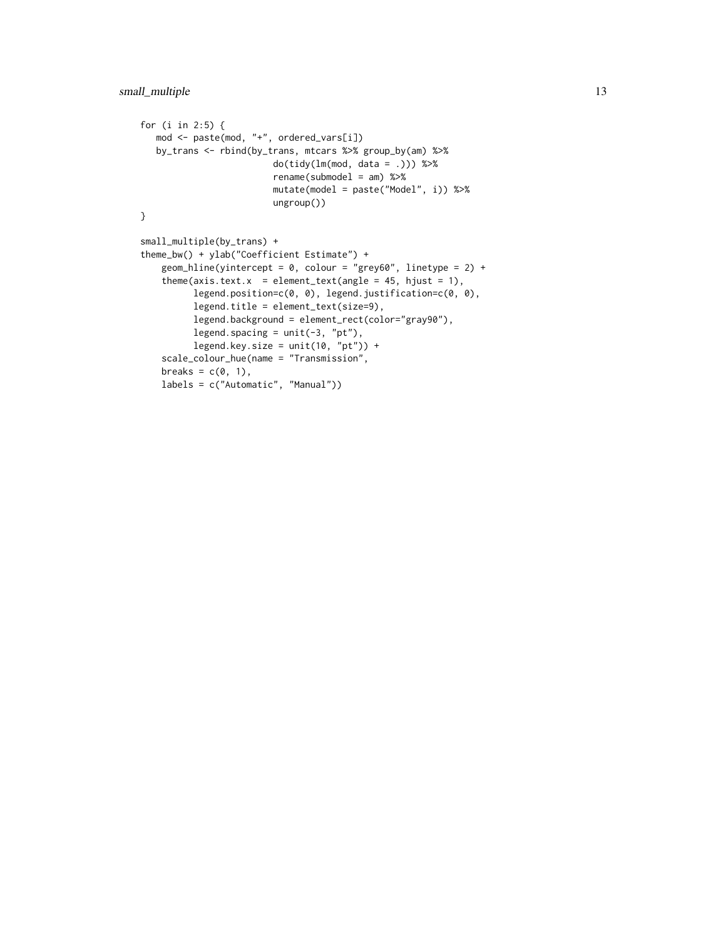```
for (i in 2:5) {
  mod <- paste(mod, "+", ordered_vars[i])
  by_trans <- rbind(by_trans, mtcars %>% group_by(am) %>%
                        do(tidy(lm(mod, data = .))) %>%
                        rename(submodel = am) %>%
                        mutate(model = paste("Model", i)) %>%
                        ungroup())
}
small_multiple(by_trans) +
theme_bw() + ylab("Coefficient Estimate") +
    geom_hline(yintercept = 0, colour = "grey60", linetype = 2) +
    theme(axis.text.x = element_text(angle = 45, hjust = 1),
          legend.position=c(0, 0), legend.justification=c(0, 0),
         legend.title = element_text(size=9),
         legend.background = element_rect(color="gray90"),
         legend.spacing = unit(-3, "pt"),
         legend.key.size = unit(10, "pt") +
    scale_colour_hue(name = "Transmission",
    breaks = c(0, 1),
    labels = c("Automatic", "Manual"))
```